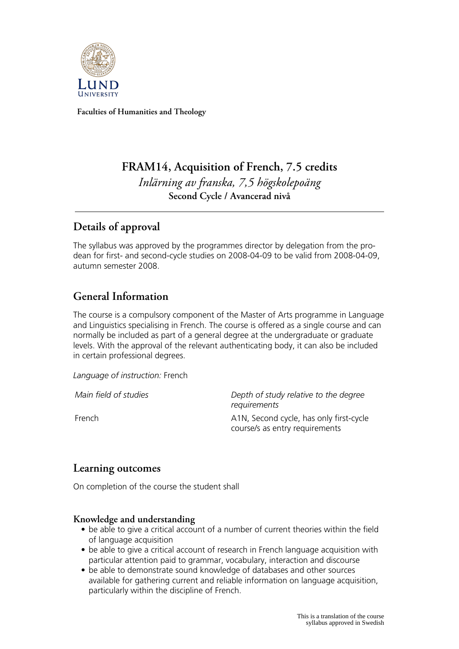

**Faculties of Humanities and Theology**

# **FRAM14, Acquisition of French, 7.5 credits** *Inlärning av franska, 7,5 högskolepoäng* **Second Cycle / Avancerad nivå**

## **Details of approval**

The syllabus was approved by the programmes director by delegation from the prodean for first- and second-cycle studies on 2008-04-09 to be valid from 2008-04-09, autumn semester 2008.

# **General Information**

The course is a compulsory component of the Master of Arts programme in Language and Linguistics specialising in French. The course is offered as a single course and can normally be included as part of a general degree at the undergraduate or graduate levels. With the approval of the relevant authenticating body, it can also be included in certain professional degrees.

*Language of instruction:* French

*Main field of studies Depth of study relative to the degree requirements* French **A1N, Second cycle, has only first-cycle** course/s as entry requirements

## **Learning outcomes**

On completion of the course the student shall

### **Knowledge and understanding**

- be able to give a critical account of a number of current theories within the field of language acquisition
- be able to give a critical account of research in French language acquisition with particular attention paid to grammar, vocabulary, interaction and discourse
- be able to demonstrate sound knowledge of databases and other sources available for gathering current and reliable information on language acquisition, particularly within the discipline of French.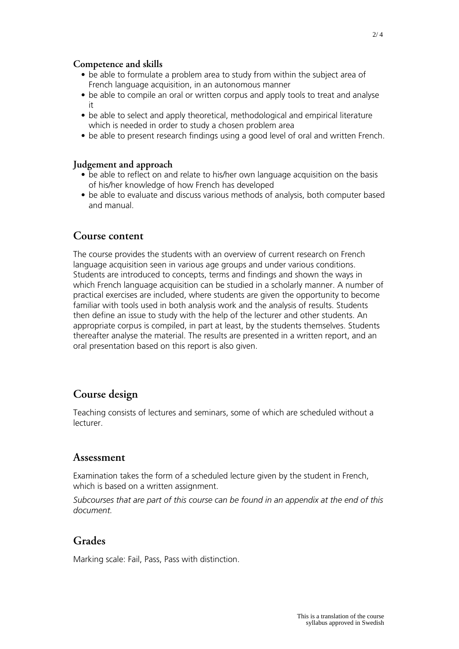#### **Competence and skills**

- be able to formulate a problem area to study from within the subject area of French language acquisition, in an autonomous manner
- be able to compile an oral or written corpus and apply tools to treat and analyse it
- be able to select and apply theoretical, methodological and empirical literature which is needed in order to study a chosen problem area
- be able to present research findings using a good level of oral and written French.

#### **Judgement and approach**

- be able to reflect on and relate to his/her own language acquisition on the basis of his/her knowledge of how French has developed
- be able to evaluate and discuss various methods of analysis, both computer based and manual.

### **Course content**

The course provides the students with an overview of current research on French language acquisition seen in various age groups and under various conditions. Students are introduced to concepts, terms and findings and shown the ways in which French language acquisition can be studied in a scholarly manner. A number of practical exercises are included, where students are given the opportunity to become familiar with tools used in both analysis work and the analysis of results. Students then define an issue to study with the help of the lecturer and other students. An appropriate corpus is compiled, in part at least, by the students themselves. Students thereafter analyse the material. The results are presented in a written report, and an oral presentation based on this report is also given.

## **Course design**

Teaching consists of lectures and seminars, some of which are scheduled without a lecturer.

### **Assessment**

Examination takes the form of a scheduled lecture given by the student in French, which is based on a written assignment.

*Subcourses that are part of this course can be found in an appendix at the end of this document.*

## **Grades**

Marking scale: Fail, Pass, Pass with distinction.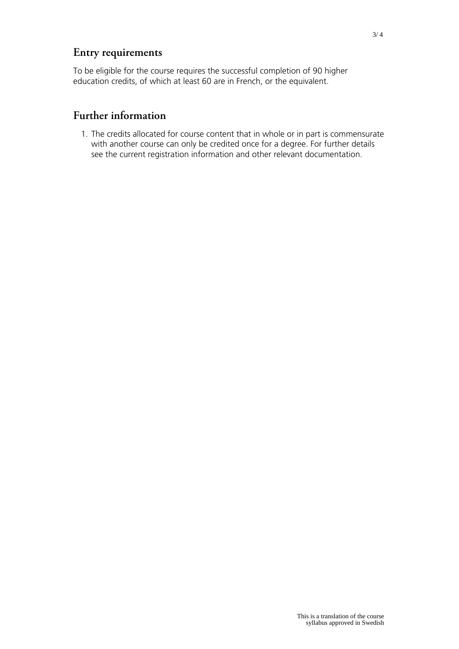# **Entry requirements**

To be eligible for the course requires the successful completion of 90 higher education credits, of which at least 60 are in French, or the equivalent.

## **Further information**

1. The credits allocated for course content that in whole or in part is commensurate with another course can only be credited once for a degree. For further details see the current registration information and other relevant documentation.